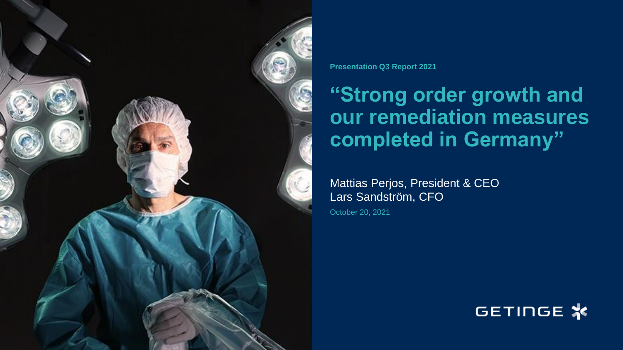

**Presentation Q3 Report 2021**

# **"Strong order growth and our remediation measures completed in Germany"**

Mattias Perjos, President & CEO Lars Sandström, CFO

October 20, 2021

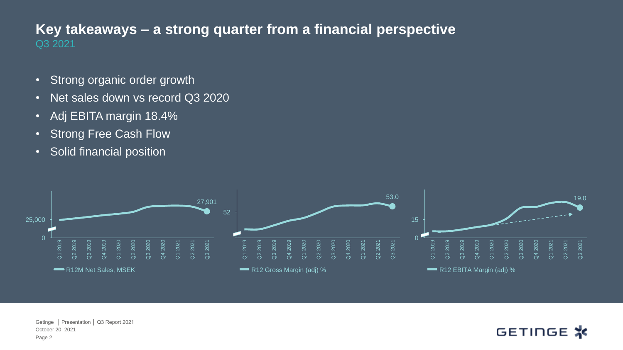#### Q3 2021 **Key takeaways – a strong quarter from a financial perspective**

- Strong organic order growth
- Net sales down vs record Q3 2020
- Adj EBITA margin 18.4%
- Strong Free Cash Flow
- Solid financial position



October 20, 2021 Getinge │ Presentation │ Q3 Report 2021 Page 2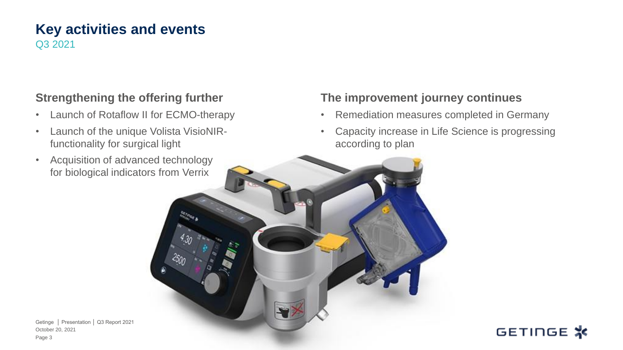#### **Key activities and events** Q3 2021

#### **Strengthening the offering further**

- Launch of Rotaflow II for ECMO-therapy
- Launch of the unique Volista VisioNIRfunctionality for surgical light
- Acquisition of advanced technology for biological indicators from Verrix

#### **The improvement journey continues**

- Remediation measures completed in Germany
- Capacity increase in Life Science is progressing according to plan



October 20, 2021 Getinge │ Presentation │ Q3 Report 2021 Page 3

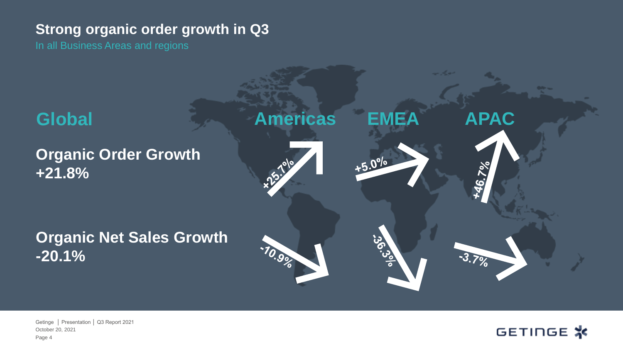#### **Strong organic order growth in Q3**

In all Business Areas and regions



October 20, 2021 Getinge │ Presentation │ Q3 Report 2021 Page 4

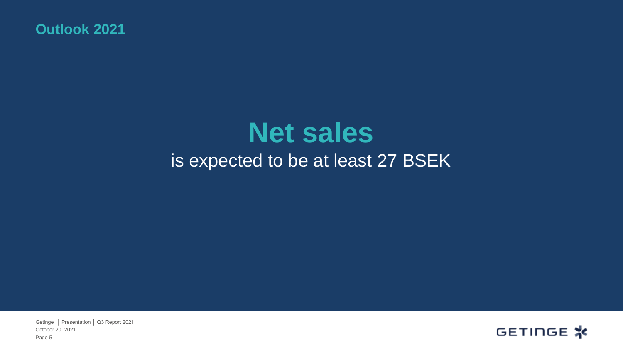**Outlook 2021**

# **Net sales**  is expected to be at least 27 BSEK

October 20, 2021 Getinge │ Presentation │ Q3 Report 2021 Page 5

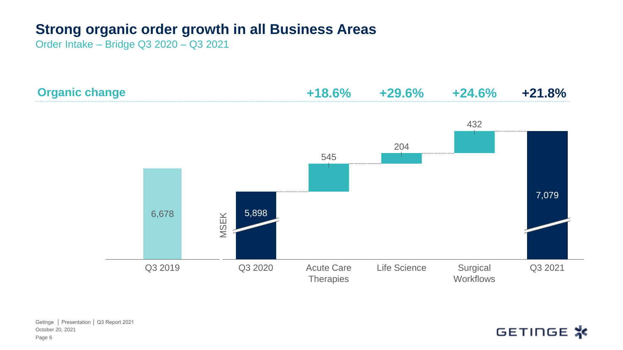### **Strong organic order growth in all Business Areas**

Order Intake – Bridge Q3 2020 – Q3 2021





October 20, 2021 Getinge │ Presentation │ Q3 Report 2021 Page 6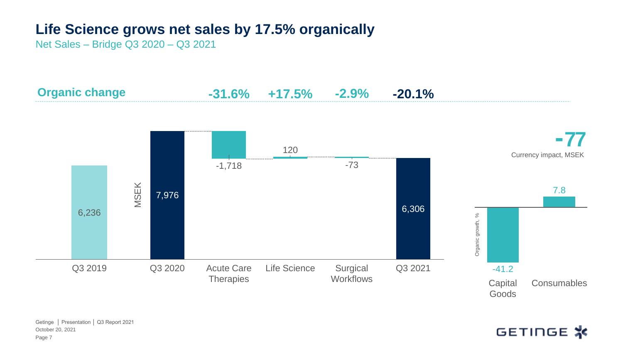## **Life Science grows net sales by 17.5% organically**

Net Sales – Bridge Q3 2020 – Q3 2021

**Organic change -31.6% +17.5% -2.9% -20.1%**



October 20, 2021 Getinge │ Presentation │ Q3 Report 2021 Page 7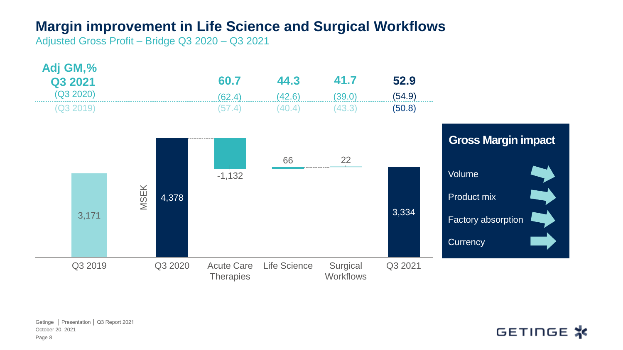#### **Margin improvement in Life Science and Surgical Workflows**

Adjusted Gross Profit – Bridge Q3 2020 – Q3 2021



October 20, 2021 Getinge │ Presentation │ Q3 Report 2021 Page 8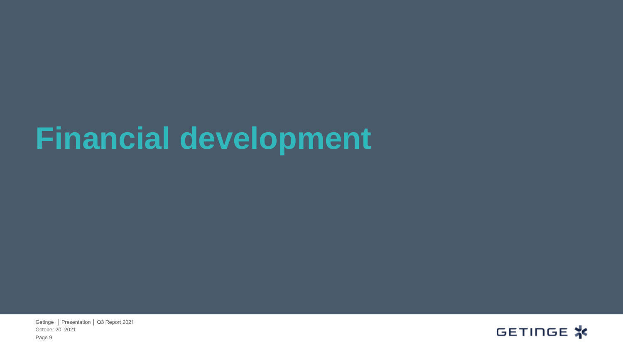# **Financial development**

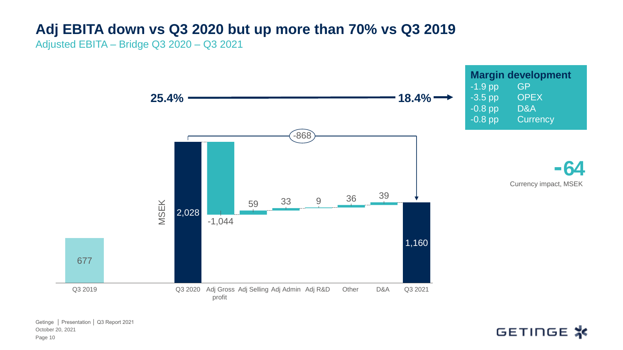## **Adj EBITA down vs Q3 2020 but up more than 70% vs Q3 2019**

Adjusted EBITA – Bridge Q3 2020 – Q3 2021

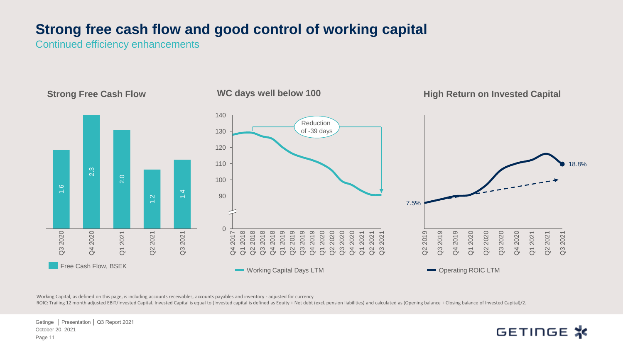### **Strong free cash flow and good control of working capital**

Continued efficiency enhancements



Working Capital, as defined on this page, is including accounts receivables, accounts payables and inventory - adjusted for currency

ROIC: Trailing 12 month adjusted EBIT/Invested Capital. Invested Capital is equal to (Invested capital is defined as Equity + Net debt (excl. pension liabilities) and calculated as (Opening balance + Closing balance of Inv

October 20, 2021 Getinge │ Presentation │ Q3 Report 2021 Page 11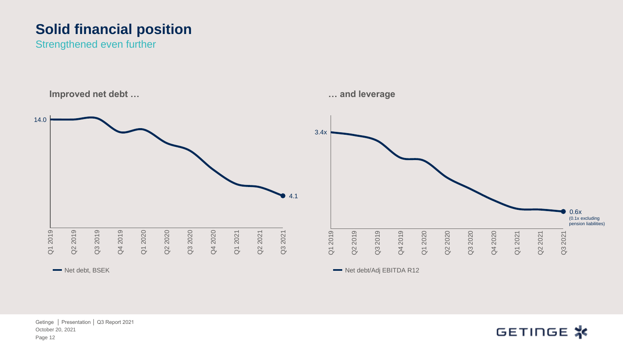## **Solid financial position**

Strengthened even further



October 20, 2021 Getinge │ Presentation │ Q3 Report 2021 Page 12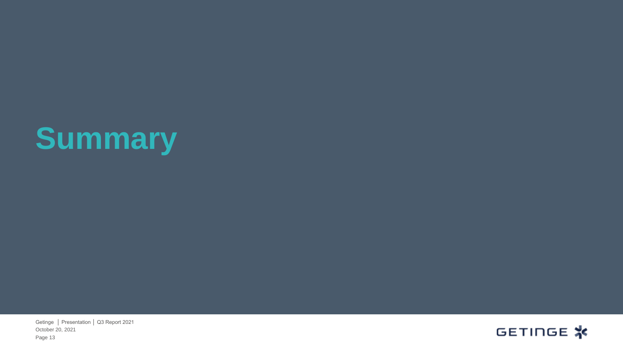# **Summary**

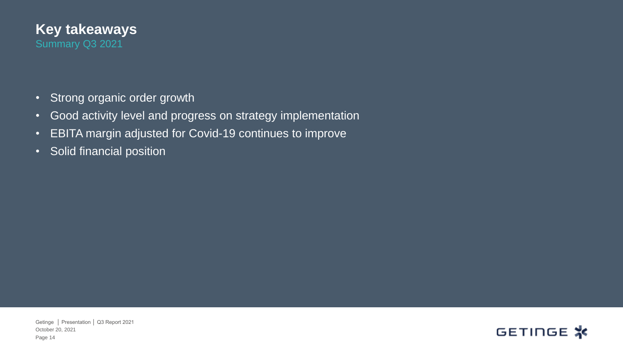

- Strong organic order growth
- Good activity level and progress on strategy implementation
- EBITA margin adjusted for Covid-19 continues to improve
- Solid financial position

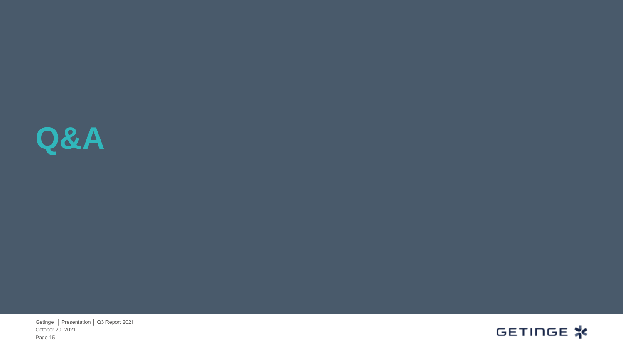

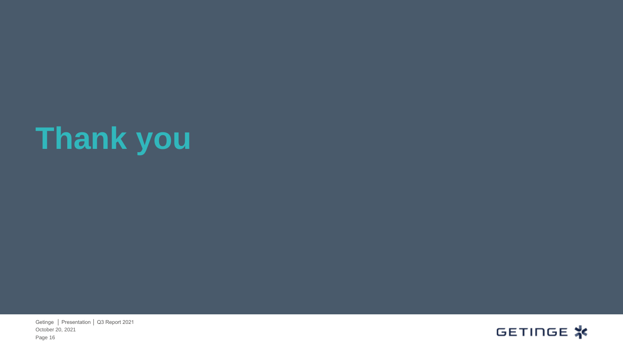# **Thank you**

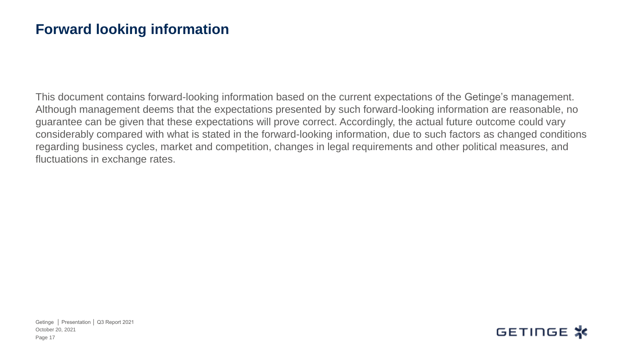#### **Forward looking information**

This document contains forward-looking information based on the current expectations of the Getinge's management. Although management deems that the expectations presented by such forward-looking information are reasonable, no guarantee can be given that these expectations will prove correct. Accordingly, the actual future outcome could vary considerably compared with what is stated in the forward-looking information, due to such factors as changed conditions regarding business cycles, market and competition, changes in legal requirements and other political measures, and fluctuations in exchange rates.